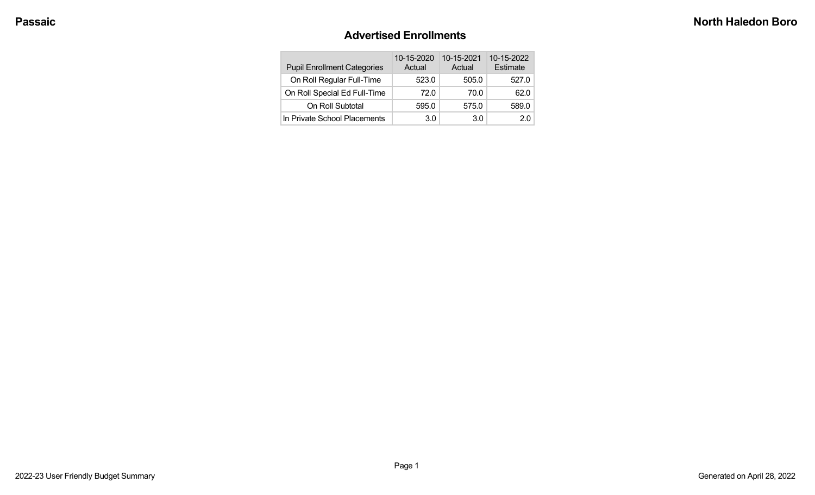#### **Advertised Enrollments**

| <b>Pupil Enrollment Categories</b> | 10-15-2020<br>Actual | 10-15-2021<br>Actual | 10-15-2022<br>Estimate |
|------------------------------------|----------------------|----------------------|------------------------|
| On Roll Regular Full-Time          | 523.0                | 505.0                | 527.0                  |
| On Roll Special Ed Full-Time       | 72.0                 | 70.0                 | 62.0                   |
| On Roll Subtotal                   | 595.0                | 575.0                | 589.0                  |
| In Private School Placements       | 3.0                  | 3.0                  | 20                     |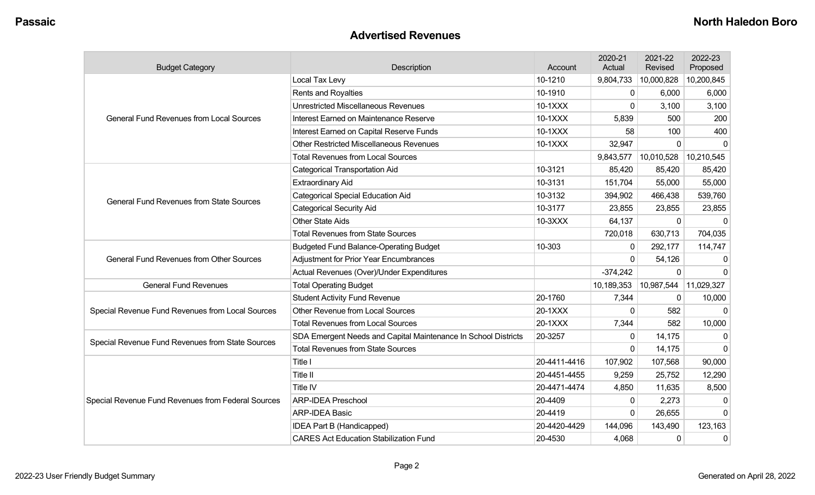#### **Advertised Revenues**

| <b>Budget Category</b>                             | Description                                                    | Account      | 2020-21<br>Actual | 2021-22<br>Revised | 2022-23<br>Proposed |
|----------------------------------------------------|----------------------------------------------------------------|--------------|-------------------|--------------------|---------------------|
|                                                    | Local Tax Levy                                                 | 10-1210      | 9,804,733         | 10,000,828         | 10,200,845          |
|                                                    | Rents and Royalties                                            | 10-1910      | 0                 | 6,000              | 6,000               |
|                                                    | <b>Unrestricted Miscellaneous Revenues</b>                     | 10-1XXX      | $\mathbf{0}$      | 3,100              | 3,100               |
| <b>General Fund Revenues from Local Sources</b>    | Interest Earned on Maintenance Reserve                         | 10-1XXX      | 5,839             | 500                | 200                 |
|                                                    | Interest Earned on Capital Reserve Funds                       | 10-1XXX      | 58                | 100                | 400                 |
|                                                    | <b>Other Restricted Miscellaneous Revenues</b>                 | 10-1XXX      | 32,947            | $\Omega$           | $\Omega$            |
|                                                    | <b>Total Revenues from Local Sources</b>                       |              | 9,843,577         | 10,010,528         | 10,210,545          |
|                                                    | <b>Categorical Transportation Aid</b>                          | 10-3121      | 85,420            | 85,420             | 85,420              |
|                                                    | <b>Extraordinary Aid</b>                                       | 10-3131      | 151,704           | 55,000             | 55,000              |
| <b>General Fund Revenues from State Sources</b>    | <b>Categorical Special Education Aid</b>                       | 10-3132      | 394,902           | 466,438            | 539,760             |
|                                                    | <b>Categorical Security Aid</b>                                | 10-3177      | 23,855            | 23,855             | 23,855              |
|                                                    | <b>Other State Aids</b>                                        | 10-3XXX      | 64,137            | $\mathbf 0$        | $\Omega$            |
|                                                    | <b>Total Revenues from State Sources</b>                       |              | 720,018           | 630,713            | 704,035             |
|                                                    | <b>Budgeted Fund Balance-Operating Budget</b>                  | 10-303       | $\Omega$          | 292,177            | 114,747             |
| <b>General Fund Revenues from Other Sources</b>    | <b>Adjustment for Prior Year Encumbrances</b>                  |              | $\Omega$          | 54,126             | $\mathbf{0}$        |
|                                                    | Actual Revenues (Over)/Under Expenditures                      |              | $-374,242$        | $\mathbf 0$        | $\Omega$            |
| <b>General Fund Revenues</b>                       | <b>Total Operating Budget</b>                                  |              | 10,189,353        | 10,987,544         | 11,029,327          |
|                                                    | <b>Student Activity Fund Revenue</b>                           | 20-1760      | 7,344             | $\mathbf{0}$       | 10,000              |
| Special Revenue Fund Revenues from Local Sources   | Other Revenue from Local Sources                               | 20-1XXX      | $\mathbf{0}$      | 582                | $\Omega$            |
|                                                    | <b>Total Revenues from Local Sources</b>                       | 20-1XXX      | 7,344             | 582                | 10,000              |
|                                                    | SDA Emergent Needs and Capital Maintenance In School Districts | 20-3257      | $\mathbf{0}$      | 14,175             | $\Omega$            |
| Special Revenue Fund Revenues from State Sources   | <b>Total Revenues from State Sources</b>                       |              | $\Omega$          | 14,175             | $\Omega$            |
|                                                    | Title I                                                        | 20-4411-4416 | 107,902           | 107,568            | 90,000              |
|                                                    | Title II                                                       | 20-4451-4455 | 9,259             | 25,752             | 12,290              |
|                                                    | Title IV                                                       | 20-4471-4474 | 4,850             | 11,635             | 8,500               |
| Special Revenue Fund Revenues from Federal Sources | <b>ARP-IDEA Preschool</b>                                      | 20-4409      | $\mathbf{0}$      | 2,273              | $\mathbf 0$         |
|                                                    | <b>ARP-IDEA Basic</b>                                          | 20-4419      | $\Omega$          | 26,655             | $\Omega$            |
|                                                    | IDEA Part B (Handicapped)                                      | 20-4420-4429 | 144,096           | 143,490            | 123,163             |
|                                                    | <b>CARES Act Education Stabilization Fund</b>                  | 20-4530      | 4,068             | $\mathbf 0$        | $\mathbf 0$         |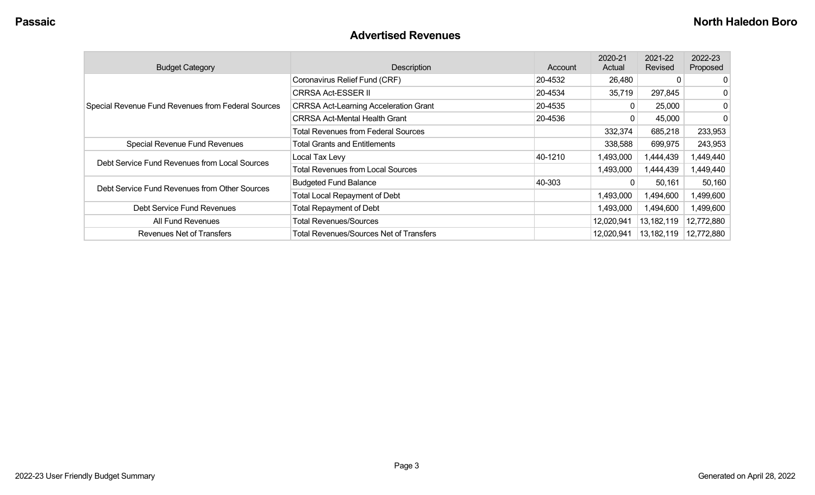#### **Advertised Revenues**

| <b>Budget Category</b>                             | Description                                    | Account | 2020-21<br>Actual | 2021-22<br>Revised | 2022-23<br>Proposed |
|----------------------------------------------------|------------------------------------------------|---------|-------------------|--------------------|---------------------|
|                                                    | Coronavirus Relief Fund (CRF)                  | 20-4532 | 26,480            | C                  | 0                   |
|                                                    | <b>CRRSA Act-ESSER II</b>                      | 20-4534 | 35,719            | 297,845            | 0                   |
| Special Revenue Fund Revenues from Federal Sources | <b>CRRSA Act-Learning Acceleration Grant</b>   | 20-4535 |                   | 25,000             | 0                   |
|                                                    | <b>CRRSA Act-Mental Health Grant</b>           | 20-4536 |                   | 45,000             | 0                   |
|                                                    | <b>Total Revenues from Federal Sources</b>     |         | 332,374           | 685,218            | 233,953             |
| Special Revenue Fund Revenues                      | <b>Total Grants and Entitlements</b>           |         | 338,588           | 699,975            | 243,953             |
| Debt Service Fund Revenues from Local Sources      | Local Tax Levy                                 | 40-1210 | 1,493,000         | 1,444,439          | 1,449,440           |
|                                                    | <b>Total Revenues from Local Sources</b>       |         | 1,493,000         | 1,444,439          | 1,449,440           |
| Debt Service Fund Revenues from Other Sources      | <b>Budgeted Fund Balance</b>                   | 40-303  | 0                 | 50,161             | 50,160              |
|                                                    | <b>Total Local Repayment of Debt</b>           |         | 1,493,000         | 1,494,600          | 1,499,600           |
| Debt Service Fund Revenues                         | <b>Total Repayment of Debt</b>                 |         | 1,493,000         | 1,494,600          | 1,499,600           |
| All Fund Revenues                                  | <b>Total Revenues/Sources</b>                  |         | 12,020,941        | 13,182,119         | 12,772,880          |
| <b>Revenues Net of Transfers</b>                   | <b>Total Revenues/Sources Net of Transfers</b> |         | 12,020,941        | 13,182,119         | 12,772,880          |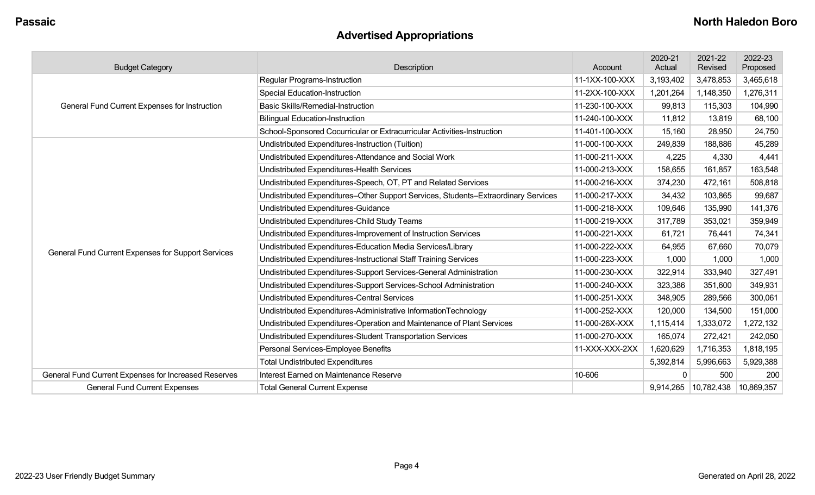## **Advertised Appropriations**

| <b>Budget Category</b>                               | Description                                                                        | Account        | 2020-21<br>Actual | 2021-22<br>Revised | 2022-23<br>Proposed |
|------------------------------------------------------|------------------------------------------------------------------------------------|----------------|-------------------|--------------------|---------------------|
|                                                      | <b>Regular Programs-Instruction</b>                                                | 11-1XX-100-XXX | 3,193,402         | 3,478,853          | 3,465,618           |
|                                                      | <b>Special Education-Instruction</b>                                               | 11-2XX-100-XXX | 1,201,264         | 1,148,350          | 1,276,311           |
| General Fund Current Expenses for Instruction        | <b>Basic Skills/Remedial-Instruction</b>                                           | 11-230-100-XXX | 99,813            | 115,303            | 104,990             |
|                                                      | <b>Bilingual Education-Instruction</b>                                             | 11-240-100-XXX | 11,812            | 13,819             | 68,100              |
|                                                      | School-Sponsored Cocurricular or Extracurricular Activities-Instruction            | 11-401-100-XXX | 15,160            | 28,950             | 24,750              |
|                                                      | Undistributed Expenditures-Instruction (Tuition)                                   | 11-000-100-XXX | 249,839           | 188,886            | 45,289              |
|                                                      | Undistributed Expenditures-Attendance and Social Work                              | 11-000-211-XXX | 4,225             | 4,330              | 4,441               |
|                                                      | Undistributed Expenditures-Health Services                                         | 11-000-213-XXX | 158,655           | 161,857            | 163,548             |
|                                                      | Undistributed Expenditures-Speech, OT, PT and Related Services                     | 11-000-216-XXX | 374,230           | 472,161            | 508,818             |
|                                                      | Undistributed Expenditures-Other Support Services, Students-Extraordinary Services | 11-000-217-XXX | 34,432            | 103,865            | 99,687              |
|                                                      | Undistributed Expenditures-Guidance                                                | 11-000-218-XXX | 109,646           | 135,990            | 141,376             |
|                                                      | Undistributed Expenditures-Child Study Teams                                       | 11-000-219-XXX | 317,789           | 353,021            | 359,949             |
|                                                      | Undistributed Expenditures-Improvement of Instruction Services                     | 11-000-221-XXX | 61,721            | 76,441             | 74,341              |
| General Fund Current Expenses for Support Services   | Undistributed Expenditures-Education Media Services/Library                        | 11-000-222-XXX | 64,955            | 67,660             | 70,079              |
|                                                      | Undistributed Expenditures-Instructional Staff Training Services                   | 11-000-223-XXX | 1,000             | 1,000              | 1,000               |
|                                                      | Undistributed Expenditures-Support Services-General Administration                 | 11-000-230-XXX | 322,914           | 333,940            | 327,491             |
|                                                      | Undistributed Expenditures-Support Services-School Administration                  | 11-000-240-XXX | 323,386           | 351,600            | 349,931             |
|                                                      | <b>Undistributed Expenditures-Central Services</b>                                 | 11-000-251-XXX | 348,905           | 289,566            | 300,061             |
|                                                      | Undistributed Expenditures-Administrative InformationTechnology                    | 11-000-252-XXX | 120,000           | 134,500            | 151,000             |
|                                                      | Undistributed Expenditures-Operation and Maintenance of Plant Services             | 11-000-26X-XXX | 1,115,414         | ,333,072           | 1,272,132           |
|                                                      | Undistributed Expenditures-Student Transportation Services                         | 11-000-270-XXX | 165,074           | 272,421            | 242,050             |
|                                                      | Personal Services-Employee Benefits                                                | 11-XXX-XXX-2XX | 1,620,629         | 1,716,353          | 1,818,195           |
|                                                      | <b>Total Undistributed Expenditures</b>                                            |                | 5,392,814         | 5,996,663          | 5,929,388           |
| General Fund Current Expenses for Increased Reserves | Interest Earned on Maintenance Reserve                                             | 10-606         | $\Omega$          | 500                | 200                 |
| <b>General Fund Current Expenses</b>                 | <b>Total General Current Expense</b>                                               |                | 9,914,265         | 10,782,438         | 10,869,357          |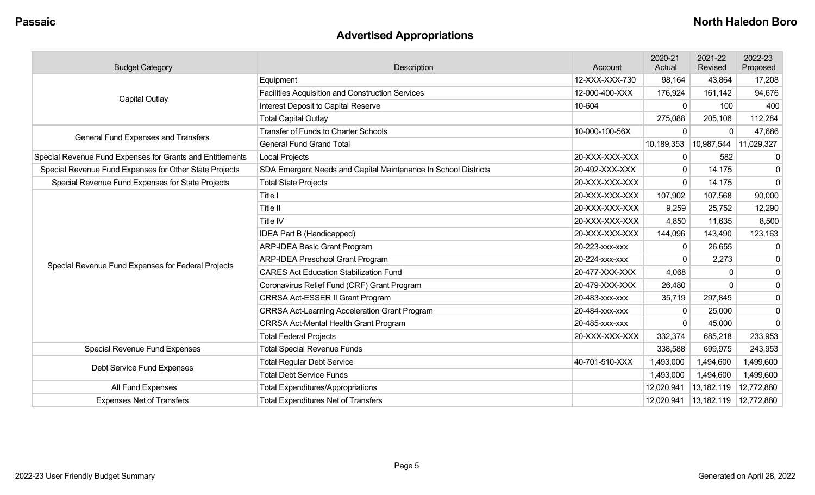## **Advertised Appropriations**

| <b>Budget Category</b>                                    | Description                                                    | Account        | 2020-21<br>Actual | 2021-22<br>Revised | 2022-23<br>Proposed |
|-----------------------------------------------------------|----------------------------------------------------------------|----------------|-------------------|--------------------|---------------------|
|                                                           | Equipment                                                      | 12-XXX-XXX-730 | 98,164            | 43,864             | 17,208              |
|                                                           | <b>Facilities Acquisition and Construction Services</b>        | 12-000-400-XXX | 176,924           | 161,142            | 94,676              |
| <b>Capital Outlay</b>                                     | Interest Deposit to Capital Reserve                            | 10-604         | $\Omega$          | 100                | 400                 |
|                                                           | <b>Total Capital Outlay</b>                                    |                | 275,088           | 205,106            | 112,284             |
| General Fund Expenses and Transfers                       | <b>Transfer of Funds to Charter Schools</b>                    | 10-000-100-56X | $\Omega$          | $\Omega$           | 47,686              |
|                                                           | <b>General Fund Grand Total</b>                                |                | 10,189,353        | 10,987,544         | 11,029,327          |
| Special Revenue Fund Expenses for Grants and Entitlements | <b>Local Projects</b>                                          | 20-XXX-XXX-XXX | 0                 | 582                | 0                   |
| Special Revenue Fund Expenses for Other State Projects    | SDA Emergent Needs and Capital Maintenance In School Districts | 20-492-XXX-XXX | 0                 | 14,175             | 0                   |
| Special Revenue Fund Expenses for State Projects          | <b>Total State Projects</b>                                    | 20-XXX-XXX-XXX | $\mathbf{0}$      | 14,175             | $\mathbf 0$         |
|                                                           | Title I                                                        | 20-XXX-XXX-XXX | 107,902           | 107,568            | 90,000              |
|                                                           | Title II                                                       | 20-XXX-XXX-XXX | 9,259             | 25,752             | 12,290              |
|                                                           | Title IV                                                       | 20-XXX-XXX-XXX | 4,850             | 11,635             | 8,500               |
|                                                           | IDEA Part B (Handicapped)                                      | 20-XXX-XXX-XXX | 144,096           | 143,490            | 123,163             |
|                                                           | <b>ARP-IDEA Basic Grant Program</b>                            | 20-223-xxx-xxx | $\Omega$          | 26,655             | 0                   |
|                                                           | <b>ARP-IDEA Preschool Grant Program</b>                        | 20-224-XXX-XXX | $\Omega$          | 2,273              | $\mathbf 0$         |
| Special Revenue Fund Expenses for Federal Projects        | <b>CARES Act Education Stabilization Fund</b>                  | 20-477-XXX-XXX | 4,068             | $\Omega$           | $\mathbf 0$         |
|                                                           | Coronavirus Relief Fund (CRF) Grant Program                    | 20-479-XXX-XXX | 26,480            | $\Omega$           | $\mathbf 0$         |
|                                                           | CRRSA Act-ESSER II Grant Program                               | 20-483-xxx-xxx | 35,719            | 297,845            | $\mathbf 0$         |
|                                                           | <b>CRRSA Act-Learning Acceleration Grant Program</b>           | 20-484-XXX-XXX | $\mathbf{0}$      | 25,000             | 0                   |
|                                                           | <b>CRRSA Act-Mental Health Grant Program</b>                   | 20-485-xxx-xxx | $\Omega$          | 45,000             | $\Omega$            |
|                                                           | <b>Total Federal Projects</b>                                  | 20-XXX-XXX-XXX | 332,374           | 685,218            | 233,953             |
| Special Revenue Fund Expenses                             | <b>Total Special Revenue Funds</b>                             |                | 338,588           | 699,975            | 243,953             |
|                                                           | <b>Total Regular Debt Service</b>                              | 40-701-510-XXX | 1,493,000         | 1,494,600          | 1,499,600           |
| Debt Service Fund Expenses                                | <b>Total Debt Service Funds</b>                                |                | 1,493,000         | 1,494,600          | 1,499,600           |
| All Fund Expenses                                         | <b>Total Expenditures/Appropriations</b>                       |                | 12,020,941        | 13,182,119         | 12,772,880          |
| <b>Expenses Net of Transfers</b>                          | <b>Total Expenditures Net of Transfers</b>                     |                | 12,020,941        | 13,182,119         | 12,772,880          |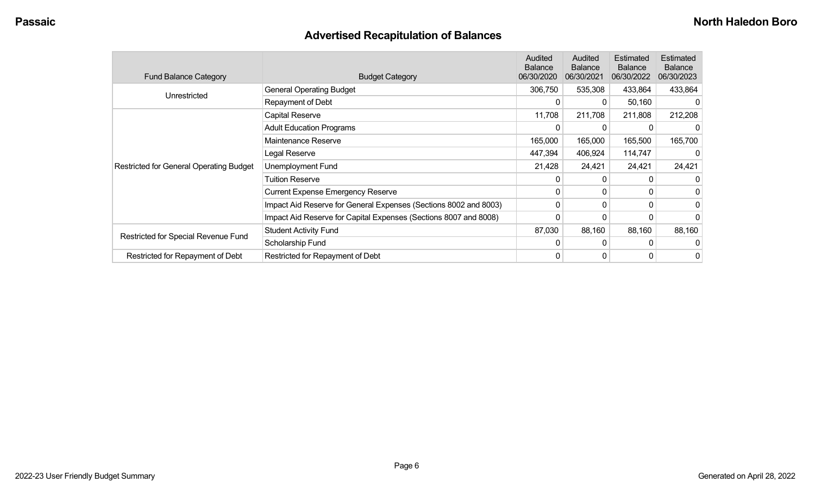## **Advertised Recapitulation of Balances**

| <b>Fund Balance Category</b>                   | <b>Budget Category</b>                                           | Audited<br><b>Balance</b><br>06/30/2020 | Audited<br><b>Balance</b><br>06/30/2021 | Estimated<br><b>Balance</b><br>06/30/2022 | Estimated<br><b>Balance</b><br>06/30/2023 |
|------------------------------------------------|------------------------------------------------------------------|-----------------------------------------|-----------------------------------------|-------------------------------------------|-------------------------------------------|
|                                                | <b>General Operating Budget</b>                                  | 306,750                                 | 535,308                                 | 433,864                                   | 433,864                                   |
| Unrestricted                                   | Repayment of Debt                                                | 0                                       | $\mathbf{0}$                            | 50,160                                    |                                           |
|                                                | Capital Reserve                                                  | 11,708                                  | 211,708                                 | 211,808                                   | 212,208                                   |
|                                                | <b>Adult Education Programs</b>                                  | 0                                       | 0                                       |                                           |                                           |
|                                                | Maintenance Reserve                                              | 165,000                                 | 165,000                                 | 165,500                                   | 165,700                                   |
|                                                | Legal Reserve                                                    | 447,394                                 | 406,924                                 | 114,747                                   |                                           |
| <b>Restricted for General Operating Budget</b> | <b>Unemployment Fund</b>                                         | 21,428                                  | 24,421                                  | 24,421                                    | 24,421                                    |
|                                                | <b>Tuition Reserve</b>                                           | 0                                       | 0                                       |                                           |                                           |
|                                                | <b>Current Expense Emergency Reserve</b>                         | 0                                       | $\Omega$                                | 0                                         |                                           |
|                                                | Impact Aid Reserve for General Expenses (Sections 8002 and 8003) | 0                                       | 0                                       | 0                                         | 0                                         |
|                                                | Impact Aid Reserve for Capital Expenses (Sections 8007 and 8008) | 0                                       | 0                                       | 0                                         |                                           |
|                                                | <b>Student Activity Fund</b>                                     | 87,030                                  | 88,160                                  | 88,160                                    | 88,160                                    |
| Restricted for Special Revenue Fund            | Scholarship Fund                                                 | 0                                       | $\Omega$                                | 0                                         |                                           |
| Restricted for Repayment of Debt               | Restricted for Repayment of Debt                                 | 0                                       | 0                                       | 0                                         | 0                                         |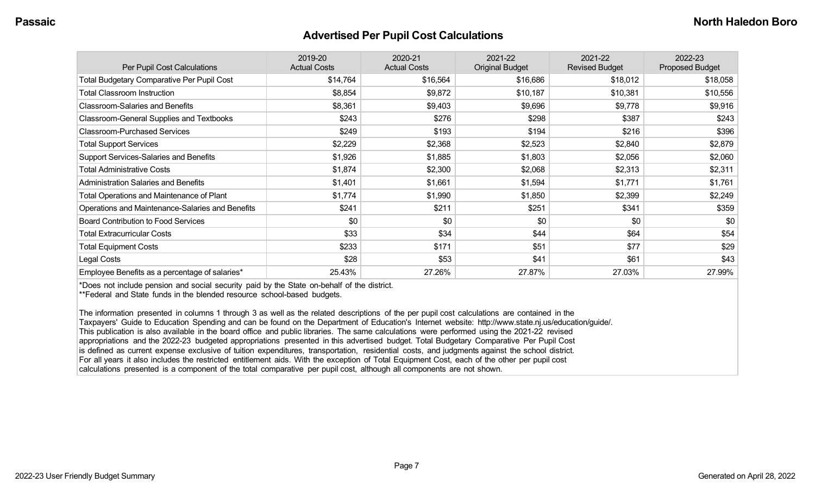#### **Advertised Per Pupil Cost Calculations**

| Per Pupil Cost Calculations                       | 2019-20<br><b>Actual Costs</b> | 2020-21<br><b>Actual Costs</b> | 2021-22<br><b>Original Budget</b> | 2021-22<br><b>Revised Budget</b> | 2022-23<br><b>Proposed Budget</b> |
|---------------------------------------------------|--------------------------------|--------------------------------|-----------------------------------|----------------------------------|-----------------------------------|
| <b>Total Budgetary Comparative Per Pupil Cost</b> | \$14,764                       | \$16,564                       | \$16,686                          | \$18,012                         | \$18,058                          |
| <b>Total Classroom Instruction</b>                | \$8,854                        | \$9,872                        | \$10,187                          | \$10,381                         | \$10,556                          |
| <b>Classroom-Salaries and Benefits</b>            | \$8,361                        | \$9,403                        | \$9,696                           | \$9,778                          | \$9,916                           |
| Classroom-General Supplies and Textbooks          | \$243                          | \$276                          | \$298                             | \$387                            | \$243                             |
| <b>Classroom-Purchased Services</b>               | \$249                          | \$193                          | \$194                             | \$216                            | \$396                             |
| <b>Total Support Services</b>                     | \$2,229                        | \$2,368                        | \$2,523                           | \$2,840                          | \$2,879                           |
| Support Services-Salaries and Benefits            | \$1,926                        | \$1,885                        | \$1,803                           | \$2,056                          | \$2,060                           |
| <b>Total Administrative Costs</b>                 | \$1,874                        | \$2,300                        | \$2,068                           | \$2,313                          | \$2,311                           |
| <b>Administration Salaries and Benefits</b>       | \$1,401                        | \$1,661                        | \$1,594                           | \$1,771                          | \$1,761                           |
| Total Operations and Maintenance of Plant         | \$1,774                        | \$1,990                        | \$1,850                           | \$2,399                          | \$2,249                           |
| Operations and Maintenance-Salaries and Benefits  | \$241                          | \$211                          | \$251                             | \$341                            | \$359                             |
| <b>Board Contribution to Food Services</b>        | \$0                            | \$0                            | \$0                               | \$0                              | \$0                               |
| <b>Total Extracurricular Costs</b>                | \$33                           | \$34                           | \$44                              | \$64                             | \$54                              |
| <b>Total Equipment Costs</b>                      | \$233                          | \$171                          | \$51                              | \$77                             | \$29                              |
| Legal Costs                                       | \$28                           | \$53                           | \$41                              | \$61                             | \$43                              |
| Employee Benefits as a percentage of salaries*    | 25.43%                         | 27.26%                         | 27.87%                            | 27.03%                           | 27.99%                            |

\*Does not include pension and social security paid by the State on-behalf of the district.

\*\*Federal and State funds in the blended resource school-based budgets.

The information presented in columns 1 through 3 as well as the related descriptions of the per pupil cost calculations are contained in the Taxpayers' Guide to Education Spending and can be found on the Department of Education's Internet website: http://www.state.nj.us/education/guide/. This publication is also available in the board office and public libraries. The same calculations were performed using the 2021-22 revised appropriations and the 2022-23 budgeted appropriations presented in this advertised budget. Total Budgetary Comparative Per Pupil Cost is defined as current expense exclusive of tuition expenditures, transportation, residential costs, and judgments against the school district. For all years it also includes the restricted entitlement aids. With the exception of Total Equipment Cost, each of the other per pupil cost calculations presented is a component of the total comparative per pupil cost, although all components are not shown.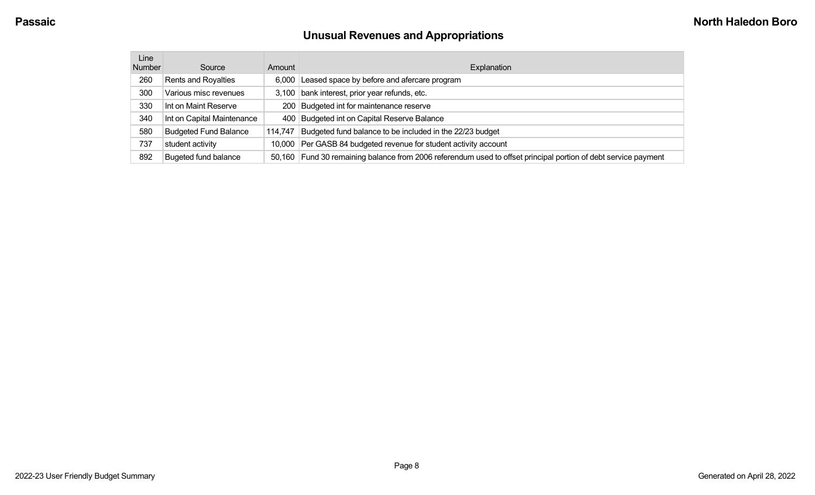# **Unusual Revenues and Appropriations**

| Line   |                              |         |                                                                                                                |
|--------|------------------------------|---------|----------------------------------------------------------------------------------------------------------------|
| Number | Source                       | Amount  | Explanation                                                                                                    |
| 260    | Rents and Royalties          | 6.000   | Leased space by before and afercare program                                                                    |
| 300    | Various misc revenues        | 3.100   | bank interest, prior year refunds, etc.                                                                        |
| 330    | Int on Maint Reserve         |         | 200 Budgeted int for maintenance reserve                                                                       |
| 340    | Int on Capital Maintenance   |         | 400 Budgeted int on Capital Reserve Balance                                                                    |
| 580    | <b>Budgeted Fund Balance</b> | 114.747 | Budgeted fund balance to be included in the 22/23 budget                                                       |
| 737    | student activity             | 10.000  | Per GASB 84 budgeted revenue for student activity account                                                      |
| 892    | <b>Bugeted fund balance</b>  |         | 50,160 Fund 30 remaining balance from 2006 referendum used to offset principal portion of debt service payment |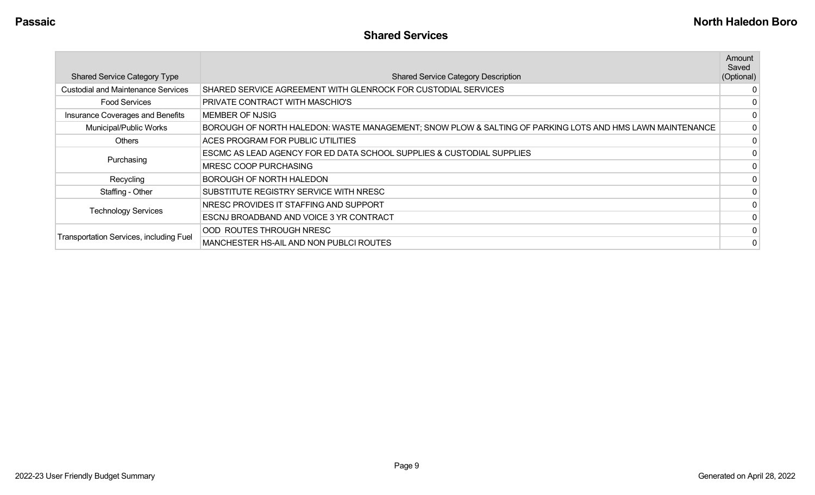|                                                |                                                                                                          | Amount<br>Saved |
|------------------------------------------------|----------------------------------------------------------------------------------------------------------|-----------------|
| <b>Shared Service Category Type</b>            | <b>Shared Service Category Description</b>                                                               | (Optional)      |
| <b>Custodial and Maintenance Services</b>      | SHARED SERVICE AGREEMENT WITH GLENROCK FOR CUSTODIAL SERVICES                                            |                 |
| <b>Food Services</b>                           | PRIVATE CONTRACT WITH MASCHIO'S                                                                          |                 |
| Insurance Coverages and Benefits               | MEMBER OF NJSIG                                                                                          | 0               |
| Municipal/Public Works                         | BOROUGH OF NORTH HALEDON: WASTE MANAGEMENT; SNOW PLOW & SALTING OF PARKING LOTS AND HMS LAWN MAINTENANCE | $\Omega$        |
| <b>Others</b>                                  | ACES PROGRAM FOR PUBLIC UTILITIES                                                                        | $\Omega$        |
| Purchasing                                     | ESCMC AS LEAD AGENCY FOR ED DATA SCHOOL SUPPLIES & CUSTODIAL SUPPLIES                                    | 0               |
|                                                | MRESC COOP PURCHASING                                                                                    | $\Omega$        |
| Recycling                                      | BOROUGH OF NORTH HALEDON                                                                                 |                 |
| Staffing - Other                               | SUBSTITUTE REGISTRY SERVICE WITH NRESC                                                                   |                 |
| <b>Technology Services</b>                     | NRESC PROVIDES IT STAFFING AND SUPPORT                                                                   |                 |
|                                                | ESCNJ BROADBAND AND VOICE 3 YR CONTRACT                                                                  |                 |
|                                                | OOD ROUTES THROUGH NRESC                                                                                 |                 |
| <b>Transportation Services, including Fuel</b> | MANCHESTER HS-AIL AND NON PUBLCI ROUTES                                                                  | 0               |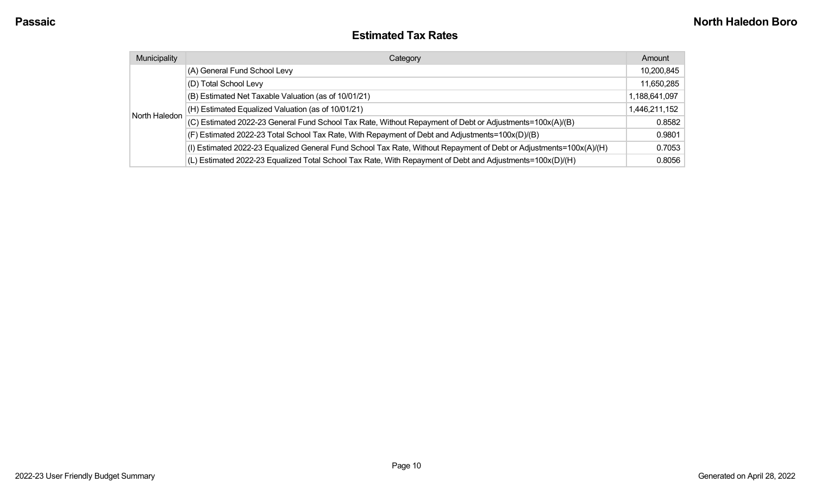#### **Estimated Tax Rates**

| Municipality  | Category                                                                                                           | Amount        |
|---------------|--------------------------------------------------------------------------------------------------------------------|---------------|
| North Haledon | (A) General Fund School Levy                                                                                       | 10,200,845    |
|               | (D) Total School Levy                                                                                              | 11,650,285    |
|               | (B) Estimated Net Taxable Valuation (as of 10/01/21)                                                               | 1,188,641,097 |
|               | (H) Estimated Equalized Valuation (as of 10/01/21)                                                                 | 1,446,211,152 |
|               | (C) Estimated 2022-23 General Fund School Tax Rate, Without Repayment of Debt or Adjustments=100x(A)/(B)           | 0.8582        |
|               | (F) Estimated 2022-23 Total School Tax Rate, With Repayment of Debt and Adjustments=100x(D)/(B)                    | 0.9801        |
|               | (I) Estimated 2022-23 Equalized General Fund School Tax Rate, Without Repayment of Debt or Adjustments=100x(A)/(H) | 0.7053        |
|               | (L) Estimated 2022-23 Equalized Total School Tax Rate, With Repayment of Debt and Adjustments=100x(D)/(H)          | 0.8056        |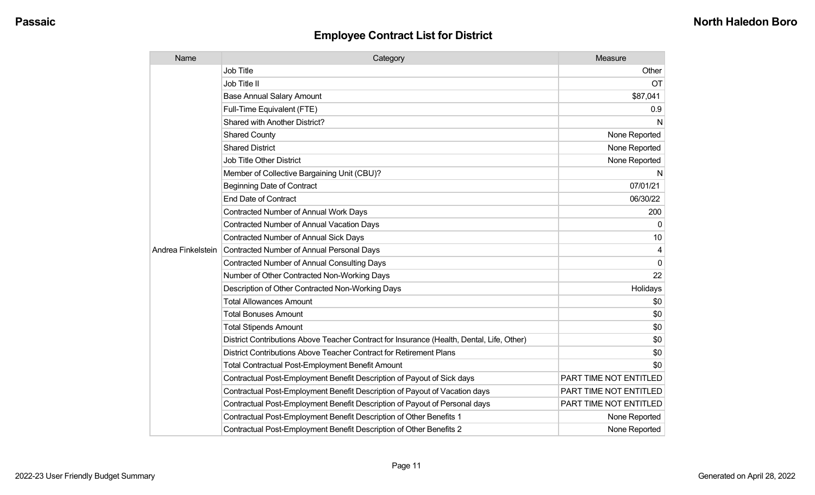| Name               | Category                                                                                  | Measure                |
|--------------------|-------------------------------------------------------------------------------------------|------------------------|
|                    | <b>Job Title</b>                                                                          | Other                  |
|                    | Job Title II                                                                              | <b>OT</b>              |
|                    | <b>Base Annual Salary Amount</b>                                                          | \$87,041               |
|                    | Full-Time Equivalent (FTE)                                                                | 0.9                    |
|                    | Shared with Another District?                                                             | N                      |
|                    | <b>Shared County</b>                                                                      | None Reported          |
|                    | <b>Shared District</b>                                                                    | None Reported          |
|                    | <b>Job Title Other District</b>                                                           | None Reported          |
|                    | Member of Collective Bargaining Unit (CBU)?                                               | N                      |
|                    | <b>Beginning Date of Contract</b>                                                         | 07/01/21               |
|                    | <b>End Date of Contract</b>                                                               | 06/30/22               |
|                    | Contracted Number of Annual Work Days                                                     | 200                    |
|                    | <b>Contracted Number of Annual Vacation Days</b>                                          | 0                      |
|                    | <b>Contracted Number of Annual Sick Days</b>                                              | 10                     |
| Andrea Finkelstein | <b>Contracted Number of Annual Personal Days</b>                                          | 4                      |
|                    | <b>Contracted Number of Annual Consulting Days</b>                                        | $\Omega$               |
|                    | Number of Other Contracted Non-Working Days                                               | 22                     |
|                    | Description of Other Contracted Non-Working Days                                          | Holidays               |
|                    | <b>Total Allowances Amount</b>                                                            | \$0                    |
|                    | <b>Total Bonuses Amount</b>                                                               | \$0                    |
|                    | <b>Total Stipends Amount</b>                                                              | \$0                    |
|                    | District Contributions Above Teacher Contract for Insurance (Health, Dental, Life, Other) | \$0                    |
|                    | District Contributions Above Teacher Contract for Retirement Plans                        | \$0                    |
|                    | <b>Total Contractual Post-Employment Benefit Amount</b>                                   | \$0                    |
|                    | Contractual Post-Employment Benefit Description of Payout of Sick days                    | PART TIME NOT ENTITLED |
|                    | Contractual Post-Employment Benefit Description of Payout of Vacation days                | PART TIME NOT ENTITLED |
|                    | Contractual Post-Employment Benefit Description of Payout of Personal days                | PART TIME NOT ENTITLED |
|                    | Contractual Post-Employment Benefit Description of Other Benefits 1                       | None Reported          |
|                    | Contractual Post-Employment Benefit Description of Other Benefits 2                       | None Reported          |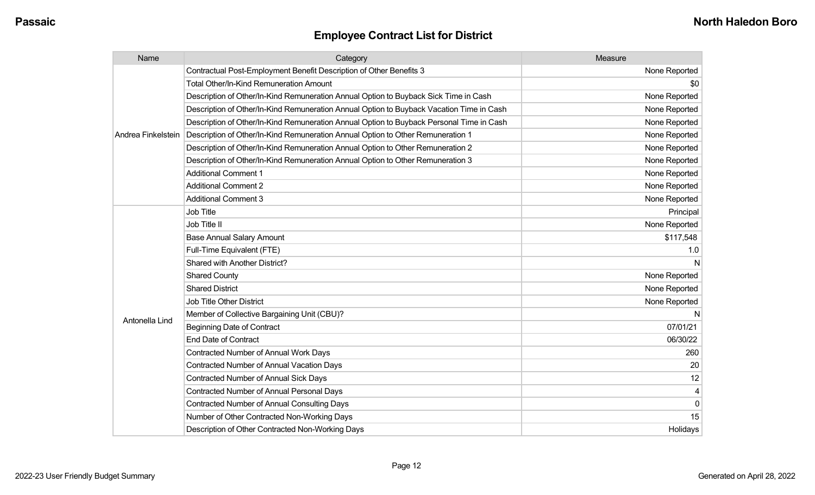| Name               | Category                                                                                 | Measure       |
|--------------------|------------------------------------------------------------------------------------------|---------------|
|                    | Contractual Post-Employment Benefit Description of Other Benefits 3                      | None Reported |
|                    | Total Other/In-Kind Remuneration Amount                                                  | \$0           |
|                    | Description of Other/In-Kind Remuneration Annual Option to Buyback Sick Time in Cash     | None Reported |
|                    | Description of Other/In-Kind Remuneration Annual Option to Buyback Vacation Time in Cash | None Reported |
|                    | Description of Other/In-Kind Remuneration Annual Option to Buyback Personal Time in Cash | None Reported |
| Andrea Finkelstein | Description of Other/In-Kind Remuneration Annual Option to Other Remuneration 1          | None Reported |
|                    | Description of Other/In-Kind Remuneration Annual Option to Other Remuneration 2          | None Reported |
|                    | Description of Other/In-Kind Remuneration Annual Option to Other Remuneration 3          | None Reported |
|                    | <b>Additional Comment 1</b>                                                              | None Reported |
|                    | <b>Additional Comment 2</b>                                                              | None Reported |
|                    | <b>Additional Comment 3</b>                                                              | None Reported |
|                    | Job Title                                                                                | Principal     |
|                    | Job Title II                                                                             | None Reported |
|                    | <b>Base Annual Salary Amount</b>                                                         | \$117,548     |
|                    | Full-Time Equivalent (FTE)                                                               | 1.0           |
|                    | Shared with Another District?                                                            |               |
|                    | <b>Shared County</b>                                                                     | None Reported |
|                    | <b>Shared District</b>                                                                   | None Reported |
|                    | Job Title Other District                                                                 | None Reported |
|                    | Member of Collective Bargaining Unit (CBU)?                                              |               |
| Antonella Lind     | <b>Beginning Date of Contract</b>                                                        | 07/01/21      |
|                    | <b>End Date of Contract</b>                                                              | 06/30/22      |
|                    | Contracted Number of Annual Work Days                                                    | 260           |
|                    | Contracted Number of Annual Vacation Days                                                | 20            |
|                    | <b>Contracted Number of Annual Sick Days</b>                                             | 12            |
|                    | Contracted Number of Annual Personal Days                                                | 4             |
|                    | <b>Contracted Number of Annual Consulting Days</b>                                       | $\mathbf 0$   |
|                    | Number of Other Contracted Non-Working Days                                              | 15            |
|                    | Description of Other Contracted Non-Working Days                                         | Holidays      |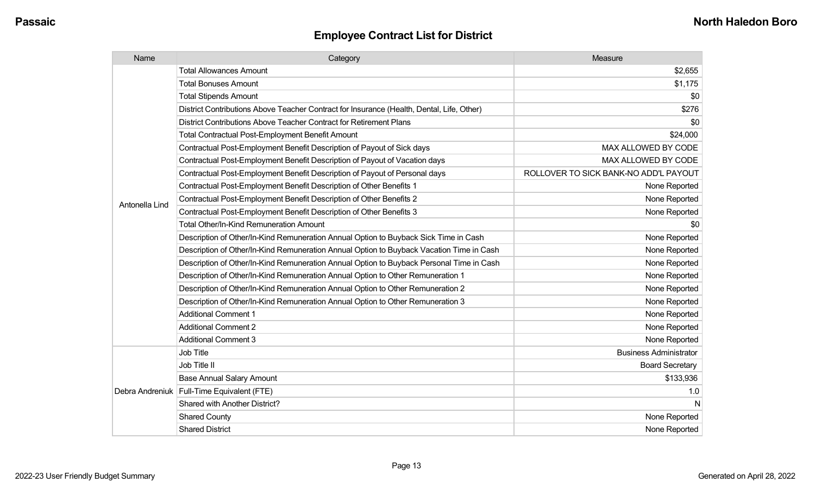| Name           | Category                                                                                  | Measure                               |
|----------------|-------------------------------------------------------------------------------------------|---------------------------------------|
|                | <b>Total Allowances Amount</b>                                                            | \$2,655                               |
|                | <b>Total Bonuses Amount</b>                                                               | \$1,175                               |
|                | <b>Total Stipends Amount</b>                                                              | \$0                                   |
|                | District Contributions Above Teacher Contract for Insurance (Health, Dental, Life, Other) | \$276                                 |
|                | District Contributions Above Teacher Contract for Retirement Plans                        | \$0                                   |
|                | <b>Total Contractual Post-Employment Benefit Amount</b>                                   | \$24,000                              |
|                | Contractual Post-Employment Benefit Description of Payout of Sick days                    | MAX ALLOWED BY CODE                   |
|                | Contractual Post-Employment Benefit Description of Payout of Vacation days                | MAX ALLOWED BY CODE                   |
|                | Contractual Post-Employment Benefit Description of Payout of Personal days                | ROLLOVER TO SICK BANK-NO ADD'L PAYOUT |
|                | Contractual Post-Employment Benefit Description of Other Benefits 1                       | None Reported                         |
| Antonella Lind | Contractual Post-Employment Benefit Description of Other Benefits 2                       | None Reported                         |
|                | Contractual Post-Employment Benefit Description of Other Benefits 3                       | None Reported                         |
|                | <b>Total Other/In-Kind Remuneration Amount</b>                                            | \$0                                   |
|                | Description of Other/In-Kind Remuneration Annual Option to Buyback Sick Time in Cash      | None Reported                         |
|                | Description of Other/In-Kind Remuneration Annual Option to Buyback Vacation Time in Cash  | None Reported                         |
|                | Description of Other/In-Kind Remuneration Annual Option to Buyback Personal Time in Cash  | None Reported                         |
|                | Description of Other/In-Kind Remuneration Annual Option to Other Remuneration 1           | None Reported                         |
|                | Description of Other/In-Kind Remuneration Annual Option to Other Remuneration 2           | None Reported                         |
|                | Description of Other/In-Kind Remuneration Annual Option to Other Remuneration 3           | None Reported                         |
|                | <b>Additional Comment 1</b>                                                               | None Reported                         |
|                | <b>Additional Comment 2</b>                                                               | None Reported                         |
|                | <b>Additional Comment 3</b>                                                               | None Reported                         |
|                | Job Title                                                                                 | <b>Business Administrator</b>         |
|                | Job Title II                                                                              | <b>Board Secretary</b>                |
|                | <b>Base Annual Salary Amount</b>                                                          | \$133,936                             |
|                | Debra Andreniuk   Full-Time Equivalent (FTE)                                              | 1.0                                   |
|                | Shared with Another District?                                                             | N                                     |
|                | <b>Shared County</b>                                                                      | None Reported                         |
|                | <b>Shared District</b>                                                                    | None Reported                         |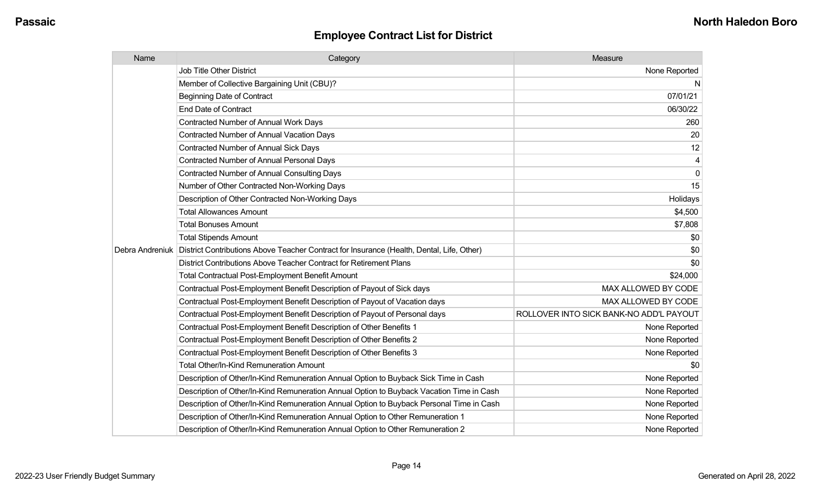| Name            | Category                                                                                  | Measure                                 |
|-----------------|-------------------------------------------------------------------------------------------|-----------------------------------------|
|                 | <b>Job Title Other District</b>                                                           | None Reported                           |
|                 | Member of Collective Bargaining Unit (CBU)?                                               | N                                       |
|                 | <b>Beginning Date of Contract</b>                                                         | 07/01/21                                |
|                 | <b>End Date of Contract</b>                                                               | 06/30/22                                |
|                 | Contracted Number of Annual Work Days                                                     | 260                                     |
|                 | <b>Contracted Number of Annual Vacation Days</b>                                          | 20                                      |
|                 | <b>Contracted Number of Annual Sick Days</b>                                              | 12                                      |
|                 | <b>Contracted Number of Annual Personal Days</b>                                          | 4                                       |
|                 | <b>Contracted Number of Annual Consulting Days</b>                                        | $\mathbf 0$                             |
|                 | Number of Other Contracted Non-Working Days                                               | 15                                      |
|                 | Description of Other Contracted Non-Working Days                                          | Holidays                                |
|                 | <b>Total Allowances Amount</b>                                                            | \$4,500                                 |
|                 | <b>Total Bonuses Amount</b>                                                               | \$7,808                                 |
|                 | <b>Total Stipends Amount</b>                                                              | \$0                                     |
| Debra Andreniuk | District Contributions Above Teacher Contract for Insurance (Health, Dental, Life, Other) | \$0                                     |
|                 | District Contributions Above Teacher Contract for Retirement Plans                        | \$0                                     |
|                 | <b>Total Contractual Post-Employment Benefit Amount</b>                                   | \$24,000                                |
|                 | Contractual Post-Employment Benefit Description of Payout of Sick days                    | MAX ALLOWED BY CODE                     |
|                 | Contractual Post-Employment Benefit Description of Payout of Vacation days                | MAX ALLOWED BY CODE                     |
|                 | Contractual Post-Employment Benefit Description of Payout of Personal days                | ROLLOVER INTO SICK BANK-NO ADD'L PAYOUT |
|                 | Contractual Post-Employment Benefit Description of Other Benefits 1                       | None Reported                           |
|                 | Contractual Post-Employment Benefit Description of Other Benefits 2                       | None Reported                           |
|                 | Contractual Post-Employment Benefit Description of Other Benefits 3                       | None Reported                           |
|                 | Total Other/In-Kind Remuneration Amount                                                   | \$0                                     |
|                 | Description of Other/In-Kind Remuneration Annual Option to Buyback Sick Time in Cash      | None Reported                           |
|                 | Description of Other/In-Kind Remuneration Annual Option to Buyback Vacation Time in Cash  | None Reported                           |
|                 | Description of Other/In-Kind Remuneration Annual Option to Buyback Personal Time in Cash  | None Reported                           |
|                 | Description of Other/In-Kind Remuneration Annual Option to Other Remuneration 1           | None Reported                           |
|                 | Description of Other/In-Kind Remuneration Annual Option to Other Remuneration 2           | None Reported                           |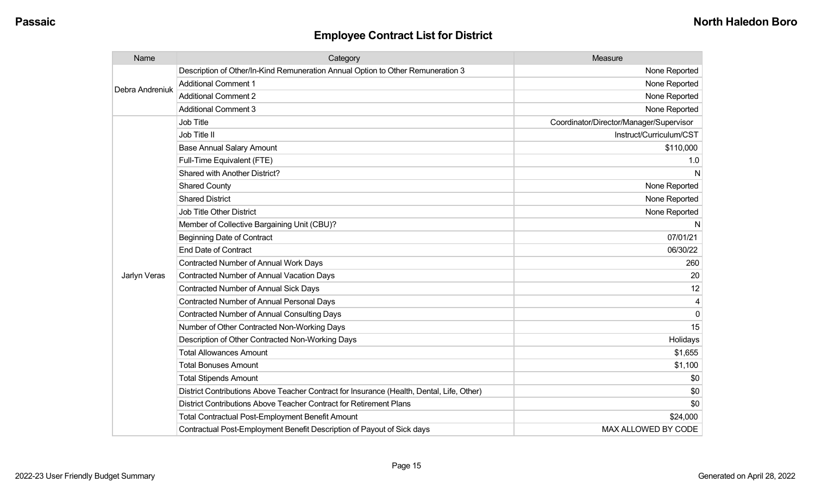| Name            | Category                                                                                  | Measure                                 |
|-----------------|-------------------------------------------------------------------------------------------|-----------------------------------------|
| Debra Andreniuk | Description of Other/In-Kind Remuneration Annual Option to Other Remuneration 3           | None Reported                           |
|                 | <b>Additional Comment 1</b>                                                               | None Reported                           |
|                 | <b>Additional Comment 2</b>                                                               | None Reported                           |
|                 | <b>Additional Comment 3</b>                                                               | None Reported                           |
|                 | <b>Job Title</b>                                                                          | Coordinator/Director/Manager/Supervisor |
|                 | Job Title II                                                                              | Instruct/Curriculum/CST                 |
|                 | <b>Base Annual Salary Amount</b>                                                          | \$110,000                               |
|                 | Full-Time Equivalent (FTE)                                                                | 1.0                                     |
|                 | Shared with Another District?                                                             | N                                       |
|                 | <b>Shared County</b>                                                                      | None Reported                           |
|                 | <b>Shared District</b>                                                                    | None Reported                           |
|                 | <b>Job Title Other District</b>                                                           | None Reported                           |
|                 | Member of Collective Bargaining Unit (CBU)?                                               | N                                       |
|                 | <b>Beginning Date of Contract</b>                                                         | 07/01/21                                |
|                 | <b>End Date of Contract</b>                                                               | 06/30/22                                |
|                 | Contracted Number of Annual Work Days                                                     | 260                                     |
| Jarlyn Veras    | <b>Contracted Number of Annual Vacation Days</b>                                          | 20                                      |
|                 | <b>Contracted Number of Annual Sick Days</b>                                              | 12                                      |
|                 | <b>Contracted Number of Annual Personal Days</b>                                          |                                         |
|                 | <b>Contracted Number of Annual Consulting Days</b>                                        | $\Omega$                                |
|                 | Number of Other Contracted Non-Working Days                                               | 15                                      |
|                 | Description of Other Contracted Non-Working Days                                          | Holidays                                |
|                 | <b>Total Allowances Amount</b>                                                            | \$1,655                                 |
|                 | <b>Total Bonuses Amount</b>                                                               | \$1,100                                 |
|                 | <b>Total Stipends Amount</b>                                                              | \$0                                     |
|                 | District Contributions Above Teacher Contract for Insurance (Health, Dental, Life, Other) | \$0                                     |
|                 | District Contributions Above Teacher Contract for Retirement Plans                        | \$0                                     |
|                 | <b>Total Contractual Post-Employment Benefit Amount</b>                                   | \$24,000                                |
|                 | Contractual Post-Employment Benefit Description of Payout of Sick days                    | MAX ALLOWED BY CODE                     |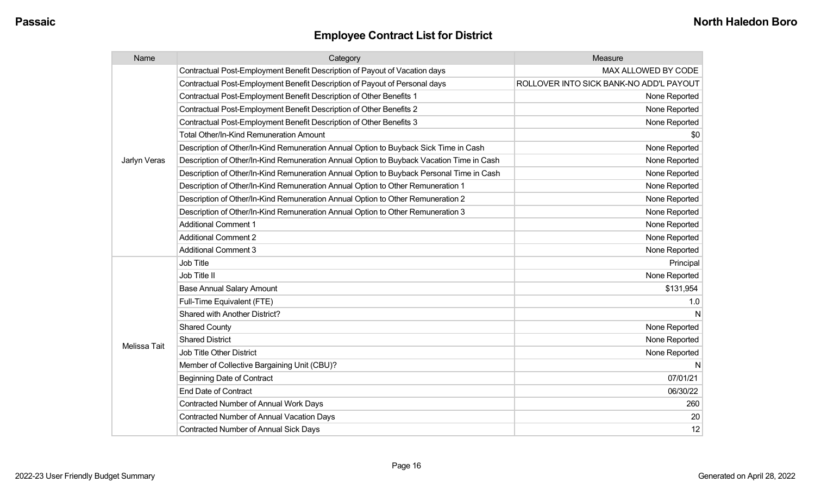| Name         | Category                                                                                 | Measure                                 |
|--------------|------------------------------------------------------------------------------------------|-----------------------------------------|
|              | Contractual Post-Employment Benefit Description of Payout of Vacation days               | MAX ALLOWED BY CODE                     |
|              | Contractual Post-Employment Benefit Description of Payout of Personal days               | ROLLOVER INTO SICK BANK-NO ADD'L PAYOUT |
|              | Contractual Post-Employment Benefit Description of Other Benefits 1                      | None Reported                           |
|              | Contractual Post-Employment Benefit Description of Other Benefits 2                      | None Reported                           |
|              | Contractual Post-Employment Benefit Description of Other Benefits 3                      | None Reported                           |
|              | <b>Total Other/In-Kind Remuneration Amount</b>                                           | \$0                                     |
|              | Description of Other/In-Kind Remuneration Annual Option to Buyback Sick Time in Cash     | None Reported                           |
| Jarlyn Veras | Description of Other/In-Kind Remuneration Annual Option to Buyback Vacation Time in Cash | None Reported                           |
|              | Description of Other/In-Kind Remuneration Annual Option to Buyback Personal Time in Cash | None Reported                           |
|              | Description of Other/In-Kind Remuneration Annual Option to Other Remuneration 1          | None Reported                           |
|              | Description of Other/In-Kind Remuneration Annual Option to Other Remuneration 2          | None Reported                           |
|              | Description of Other/In-Kind Remuneration Annual Option to Other Remuneration 3          | None Reported                           |
|              | <b>Additional Comment 1</b>                                                              | None Reported                           |
|              | <b>Additional Comment 2</b>                                                              | None Reported                           |
|              | <b>Additional Comment 3</b>                                                              | None Reported                           |
|              | Job Title                                                                                | Principal                               |
|              | Job Title II                                                                             | None Reported                           |
|              | <b>Base Annual Salary Amount</b>                                                         | \$131,954                               |
|              | Full-Time Equivalent (FTE)                                                               | 1.0                                     |
|              | <b>Shared with Another District?</b>                                                     | N                                       |
|              | <b>Shared County</b>                                                                     | None Reported                           |
| Melissa Tait | <b>Shared District</b>                                                                   | None Reported                           |
|              | <b>Job Title Other District</b>                                                          | None Reported                           |
|              | Member of Collective Bargaining Unit (CBU)?                                              | N                                       |
|              | <b>Beginning Date of Contract</b>                                                        | 07/01/21                                |
|              | <b>End Date of Contract</b>                                                              | 06/30/22                                |
|              | Contracted Number of Annual Work Days                                                    | 260                                     |
|              | <b>Contracted Number of Annual Vacation Days</b>                                         | 20                                      |
|              | <b>Contracted Number of Annual Sick Days</b>                                             | 12                                      |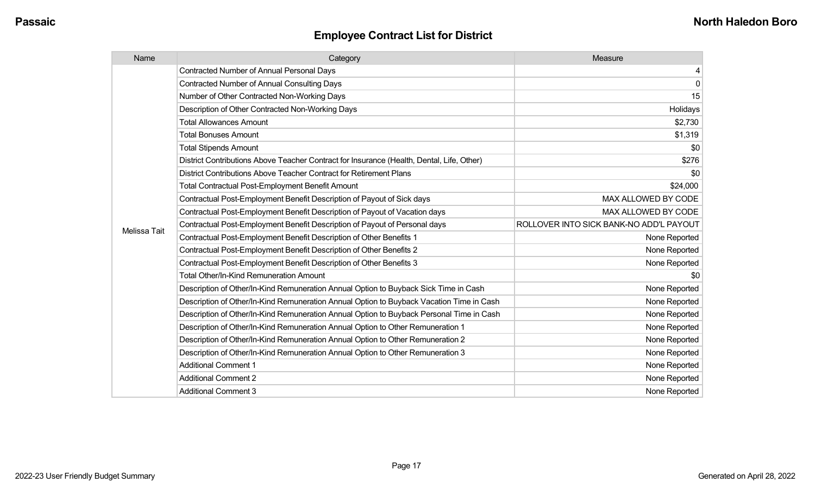| Name         | Category                                                                                  | Measure                                 |
|--------------|-------------------------------------------------------------------------------------------|-----------------------------------------|
|              | <b>Contracted Number of Annual Personal Days</b>                                          | $\overline{4}$                          |
|              | <b>Contracted Number of Annual Consulting Days</b>                                        | $\overline{0}$                          |
|              | Number of Other Contracted Non-Working Days                                               | 15                                      |
|              | Description of Other Contracted Non-Working Days                                          | Holidays                                |
|              | <b>Total Allowances Amount</b>                                                            | \$2,730                                 |
|              | <b>Total Bonuses Amount</b>                                                               | \$1,319                                 |
|              | <b>Total Stipends Amount</b>                                                              | \$0                                     |
|              | District Contributions Above Teacher Contract for Insurance (Health, Dental, Life, Other) | \$276                                   |
|              | District Contributions Above Teacher Contract for Retirement Plans                        | \$0                                     |
|              | <b>Total Contractual Post-Employment Benefit Amount</b>                                   | \$24,000                                |
|              | Contractual Post-Employment Benefit Description of Payout of Sick days                    | MAX ALLOWED BY CODE                     |
|              | Contractual Post-Employment Benefit Description of Payout of Vacation days                | MAX ALLOWED BY CODE                     |
|              | Contractual Post-Employment Benefit Description of Payout of Personal days                | ROLLOVER INTO SICK BANK-NO ADD'L PAYOUT |
| Melissa Tait | Contractual Post-Employment Benefit Description of Other Benefits 1                       | None Reported                           |
|              | Contractual Post-Employment Benefit Description of Other Benefits 2                       | None Reported                           |
|              | Contractual Post-Employment Benefit Description of Other Benefits 3                       | None Reported                           |
|              | <b>Total Other/In-Kind Remuneration Amount</b>                                            | \$0                                     |
|              | Description of Other/In-Kind Remuneration Annual Option to Buyback Sick Time in Cash      | None Reported                           |
|              | Description of Other/In-Kind Remuneration Annual Option to Buyback Vacation Time in Cash  | None Reported                           |
|              | Description of Other/In-Kind Remuneration Annual Option to Buyback Personal Time in Cash  | None Reported                           |
|              | Description of Other/In-Kind Remuneration Annual Option to Other Remuneration 1           | None Reported                           |
|              | Description of Other/In-Kind Remuneration Annual Option to Other Remuneration 2           | None Reported                           |
|              | Description of Other/In-Kind Remuneration Annual Option to Other Remuneration 3           | None Reported                           |
|              | <b>Additional Comment 1</b>                                                               | None Reported                           |
|              | <b>Additional Comment 2</b>                                                               | None Reported                           |
|              | <b>Additional Comment 3</b>                                                               | None Reported                           |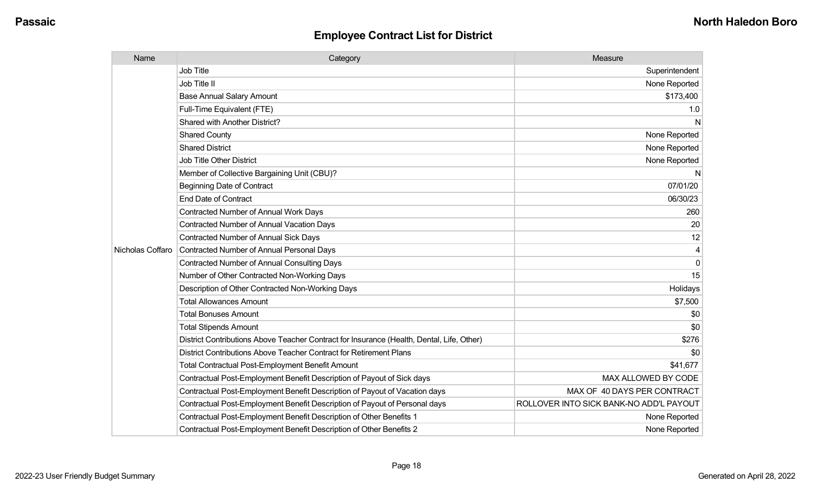| Name             | Category                                                                                  | Measure                                 |
|------------------|-------------------------------------------------------------------------------------------|-----------------------------------------|
|                  | Job Title                                                                                 | Superintendent                          |
|                  | Job Title II                                                                              | None Reported                           |
|                  | <b>Base Annual Salary Amount</b>                                                          | \$173,400                               |
|                  | Full-Time Equivalent (FTE)                                                                | 1.0                                     |
|                  | Shared with Another District?                                                             | N                                       |
|                  | <b>Shared County</b>                                                                      | None Reported                           |
|                  | <b>Shared District</b>                                                                    | None Reported                           |
|                  | Job Title Other District                                                                  | None Reported                           |
|                  | Member of Collective Bargaining Unit (CBU)?                                               | N                                       |
|                  | <b>Beginning Date of Contract</b>                                                         | 07/01/20                                |
|                  | <b>End Date of Contract</b>                                                               | 06/30/23                                |
|                  | <b>Contracted Number of Annual Work Days</b>                                              | 260                                     |
|                  | Contracted Number of Annual Vacation Days                                                 | 20                                      |
|                  | Contracted Number of Annual Sick Days                                                     | 12                                      |
| Nicholas Coffaro | <b>Contracted Number of Annual Personal Days</b>                                          | 4                                       |
|                  | <b>Contracted Number of Annual Consulting Days</b>                                        | $\Omega$                                |
|                  | Number of Other Contracted Non-Working Days                                               | 15                                      |
|                  | Description of Other Contracted Non-Working Days                                          | Holidays                                |
|                  | <b>Total Allowances Amount</b>                                                            | \$7,500                                 |
|                  | <b>Total Bonuses Amount</b>                                                               | \$0                                     |
|                  | <b>Total Stipends Amount</b>                                                              | \$0                                     |
|                  | District Contributions Above Teacher Contract for Insurance (Health, Dental, Life, Other) | \$276                                   |
|                  | District Contributions Above Teacher Contract for Retirement Plans                        | \$0                                     |
|                  | <b>Total Contractual Post-Employment Benefit Amount</b>                                   | \$41,677                                |
|                  | Contractual Post-Employment Benefit Description of Payout of Sick days                    | MAX ALLOWED BY CODE                     |
|                  | Contractual Post-Employment Benefit Description of Payout of Vacation days                | MAX OF 40 DAYS PER CONTRACT             |
|                  | Contractual Post-Employment Benefit Description of Payout of Personal days                | ROLLOVER INTO SICK BANK-NO ADD'L PAYOUT |
|                  | Contractual Post-Employment Benefit Description of Other Benefits 1                       | None Reported                           |
|                  | Contractual Post-Employment Benefit Description of Other Benefits 2                       | None Reported                           |